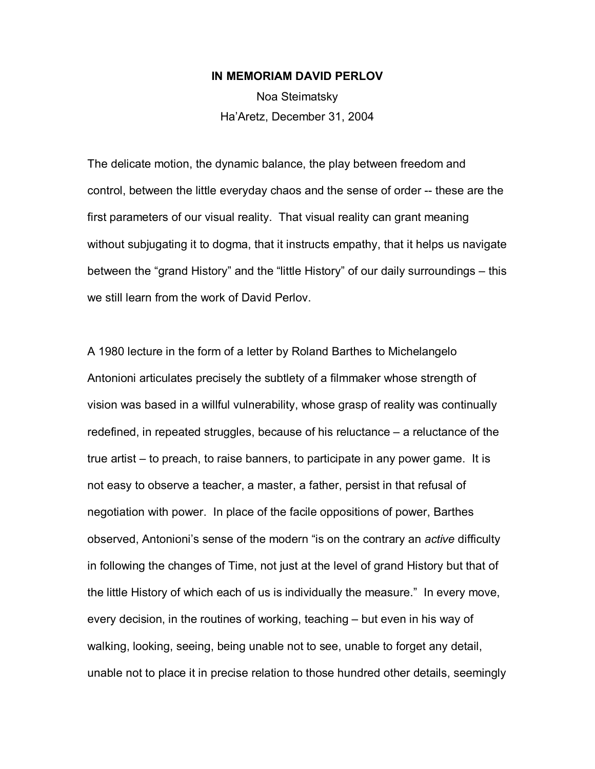## **IN MEMORIAM DAVID PERLOV**

Noa Steimatsky Ha'Aretz, December 31, 2004

The delicate motion, the dynamic balance, the play between freedom and control, between the little everyday chaos and the sense of order -- these are the first parameters of our visual reality. That visual reality can grant meaning without subjugating it to dogma, that it instructs empathy, that it helps us navigate between the "grand History" and the "little History" of our daily surroundings – this we still learn from the work of David Perlov.

A 1980 lecture in the form of a letter by Roland Barthes to Michelangelo Antonioni articulates precisely the subtlety of a filmmaker whose strength of vision was based in a willful vulnerability, whose grasp of reality was continually redefined, in repeated struggles, because of his reluctance – a reluctance of the true artist – to preach, to raise banners, to participate in any power game. It is not easy to observe a teacher, a master, a father, persist in that refusal of negotiation with power. In place of the facile oppositions of power, Barthes observed, Antonioni's sense of the modern "is on the contrary an *active* difficulty in following the changes of Time, not just at the level of grand History but that of the little History of which each of us is individually the measure." In every move, every decision, in the routines of working, teaching – but even in his way of walking, looking, seeing, being unable not to see, unable to forget any detail, unable not to place it in precise relation to those hundred other details, seemingly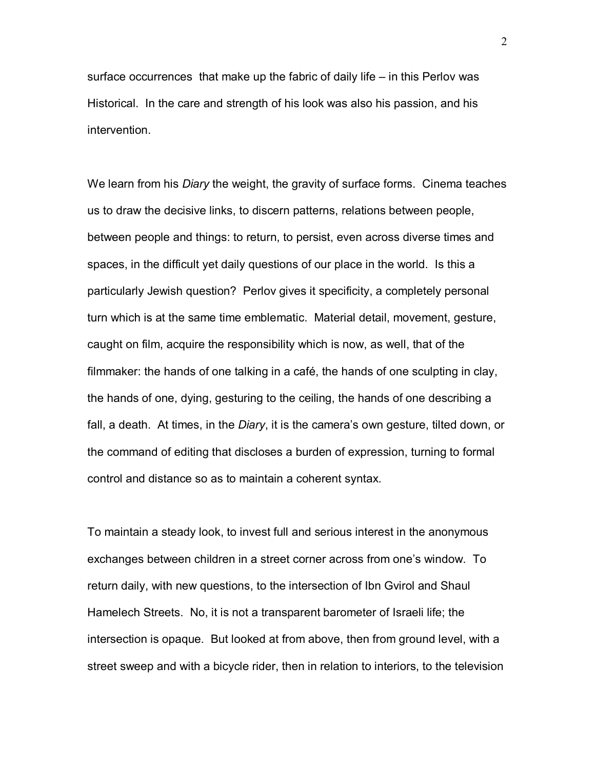surface occurrences that make up the fabric of daily life – in this Perlov was Historical. In the care and strength of his look was also his passion, and his intervention.

We learn from his *Diary* the weight, the gravity of surface forms. Cinema teaches us to draw the decisive links, to discern patterns, relations between people, between people and things: to return, to persist, even across diverse times and spaces, in the difficult yet daily questions of our place in the world. Is this a particularly Jewish question? Perlov gives it specificity, a completely personal turn which is at the same time emblematic. Material detail, movement, gesture, caught on film, acquire the responsibility which is now, as well, that of the filmmaker: the hands of one talking in a café, the hands of one sculpting in clay, the hands of one, dying, gesturing to the ceiling, the hands of one describing a fall, a death. At times, in the *Diary*, it is the camera's own gesture, tilted down, or the command of editing that discloses a burden of expression, turning to formal control and distance so as to maintain a coherent syntax.

To maintain a steady look, to invest full and serious interest in the anonymous exchanges between children in a street corner across from one's window. To return daily, with new questions, to the intersection of Ibn Gvirol and Shaul Hamelech Streets. No, it is not a transparent barometer of Israeli life; the intersection is opaque. But looked at from above, then from ground level, with a street sweep and with a bicycle rider, then in relation to interiors, to the television

2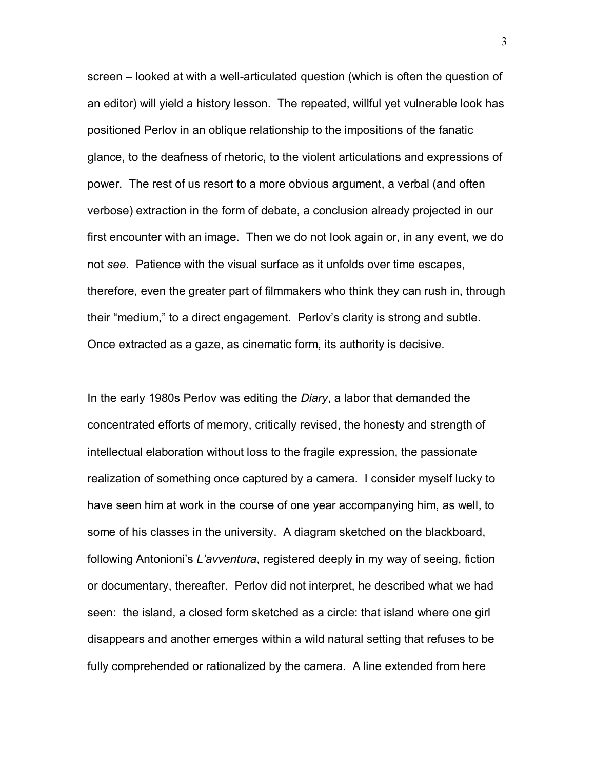screen – looked at with a well-articulated question (which is often the question of an editor) will yield a history lesson. The repeated, willful yet vulnerable look has positioned Perlov in an oblique relationship to the impositions of the fanatic glance, to the deafness of rhetoric, to the violent articulations and expressions of power. The rest of us resort to a more obvious argument, a verbal (and often verbose) extraction in the form of debate, a conclusion already projected in our first encounter with an image. Then we do not look again or, in any event, we do not *see*. Patience with the visual surface as it unfolds over time escapes, therefore, even the greater part of filmmakers who think they can rush in, through their "medium," to a direct engagement. Perlov's clarity is strong and subtle. Once extracted as a gaze, as cinematic form, its authority is decisive.

In the early 1980s Perlov was editing the *Diary*, a labor that demanded the concentrated efforts of memory, critically revised, the honesty and strength of intellectual elaboration without loss to the fragile expression, the passionate realization of something once captured by a camera. I consider myself lucky to have seen him at work in the course of one year accompanying him, as well, to some of his classes in the university. A diagram sketched on the blackboard, following Antonioni's *L'avventura*, registered deeply in my way of seeing, fiction or documentary, thereafter. Perlov did not interpret, he described what we had seen: the island, a closed form sketched as a circle: that island where one girl disappears and another emerges within a wild natural setting that refuses to be fully comprehended or rationalized by the camera. A line extended from here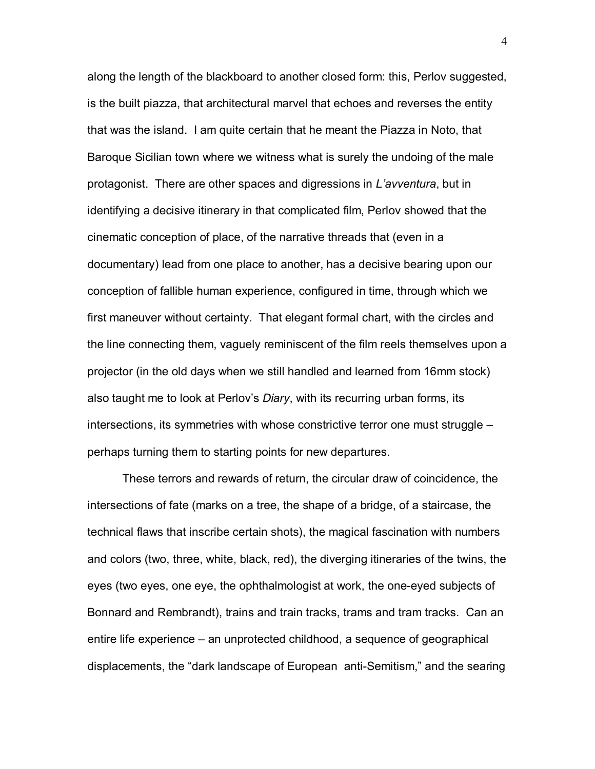along the length of the blackboard to another closed form: this, Perlov suggested, is the built piazza, that architectural marvel that echoes and reverses the entity that was the island. I am quite certain that he meant the Piazza in Noto, that Baroque Sicilian town where we witness what is surely the undoing of the male protagonist. There are other spaces and digressions in *L'avventura*, but in identifying a decisive itinerary in that complicated film, Perlov showed that the cinematic conception of place, of the narrative threads that (even in a documentary) lead from one place to another, has a decisive bearing upon our conception of fallible human experience, configured in time, through which we first maneuver without certainty. That elegant formal chart, with the circles and the line connecting them, vaguely reminiscent of the film reels themselves upon a projector (in the old days when we still handled and learned from 16mm stock) also taught me to look at Perlov's *Diary*, with its recurring urban forms, its intersections, its symmetries with whose constrictive terror one must struggle – perhaps turning them to starting points for new departures.

 These terrors and rewards of return, the circular draw of coincidence, the intersections of fate (marks on a tree, the shape of a bridge, of a staircase, the technical flaws that inscribe certain shots), the magical fascination with numbers and colors (two, three, white, black, red), the diverging itineraries of the twins, the eyes (two eyes, one eye, the ophthalmologist at work, the one-eyed subjects of Bonnard and Rembrandt), trains and train tracks, trams and tram tracks. Can an entire life experience – an unprotected childhood, a sequence of geographical displacements, the "dark landscape of European anti-Semitism," and the searing